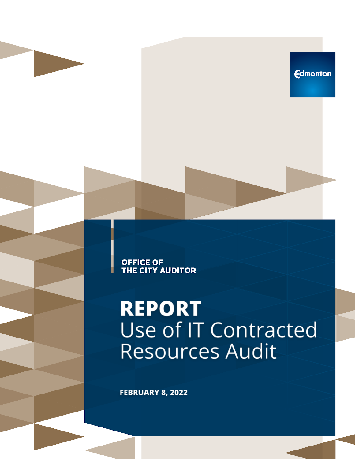**Edmonton** 

**OFFICE OF<br>THE CITY AUDITOR** 

## **REPORT** Use of IT Contracted **Resources Audit**

**FEBRUARY 8, 2022**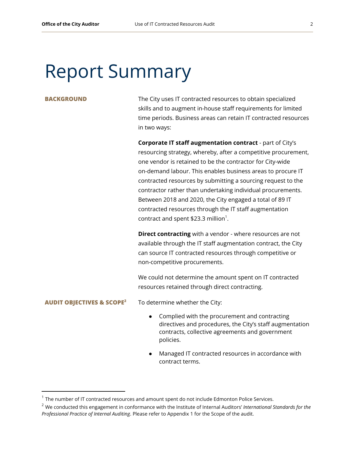## Report Summary

**BACKGROUND** The City uses IT contracted resources to obtain specialized skills and to augment in-house staff requirements for limited time periods. Business areas can retain IT contracted resources in two ways:

> **Corporate IT staff augmentation contract** - part of City's resourcing strategy, whereby, after a competitive procurement, one vendor is retained to be the contractor for City-wide on-demand labour. This enables business areas to procure IT contracted resources by submitting a sourcing request to the contractor rather than undertaking individual procurements. Between 2018 and 2020, the City engaged a total of 89 IT contracted resources through the IT staff augmentation contract and spent \$23.3 million<sup>1</sup>.

**Direct contracting** with a vendor - where resources are not available through the IT staff augmentation contract, the City can source IT contracted resources through competitive or non-competitive procurements.

We could not determine the amount spent on IT contracted resources retained through direct contracting.

#### **AUDIT OBJECTIVES & SCOPE**

**<sup>2</sup>** To determine whether the City:

- Complied with the procurement and contracting directives and procedures, the City's staff augmentation contracts, collective agreements and government policies.
- Managed IT contracted resources in accordance with contract terms.

 $1$  The number of IT contracted resources and amount spent do not include Edmonton Police Services.

<sup>2</sup> We conducted this engagement in conformance with the Institute of Internal Auditors' *International Standards for the Professional Practice of Internal Auditing*. Please refer to Appendix 1 for the Scope of the audit.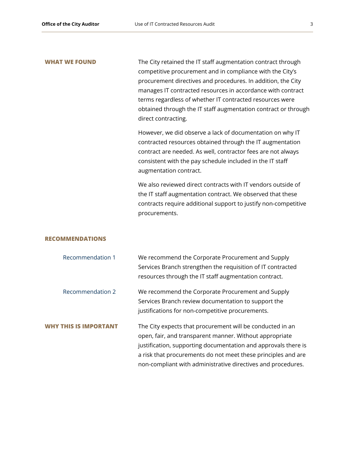**WHAT WE FOUND** The City retained the IT staff augmentation contract through competitive procurement and in compliance with the City's procurement directives and procedures. In addition, the City manages IT contracted resources in accordance with contract terms regardless of whether IT contracted resources were obtained through the IT staff augmentation contract or through direct contracting.

> However, we did observe a lack of documentation on why IT contracted resources obtained through the IT augmentation contract are needed. As well, contractor fees are not always consistent with the pay schedule included in the IT staff augmentation contract.

We also reviewed direct contracts with IT vendors outside of the IT staff augmentation contract. We observed that these contracts require additional support to justify non-competitive procurements.

### **RECOMMENDATIONS**

| <b>Recommendation 1</b>      | We recommend the Corporate Procurement and Supply              |
|------------------------------|----------------------------------------------------------------|
|                              | Services Branch strengthen the requisition of IT contracted    |
|                              | resources through the IT staff augmentation contract.          |
| <b>Recommendation 2</b>      | We recommend the Corporate Procurement and Supply              |
|                              | Services Branch review documentation to support the            |
|                              | justifications for non-competitive procurements.               |
| <b>WHY THIS IS IMPORTANT</b> | The City expects that procurement will be conducted in an      |
|                              | open, fair, and transparent manner. Without appropriate        |
|                              | justification, supporting documentation and approvals there is |
|                              | a risk that procurements do not meet these principles and are  |
|                              | non-compliant with administrative directives and procedures.   |
|                              |                                                                |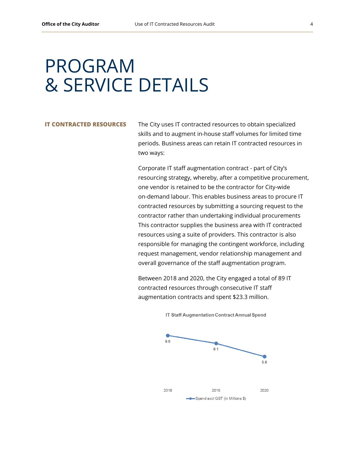## PROGRAM & SERVICE DETAILS

**IT CONTRACTED RESOURCES** The City uses IT contracted resources to obtain specialized skills and to augment in-house staff volumes for limited time periods. Business areas can retain IT contracted resources in two ways:

> Corporate IT staff augmentation contract - part of City's resourcing strategy, whereby, after a competitive procurement, one vendor is retained to be the contractor for City-wide on-demand labour. This enables business areas to procure IT contracted resources by submitting a sourcing request to the contractor rather than undertaking individual procurements This contractor supplies the business area with IT contracted resources using a suite of providers. This contractor is also responsible for managing the contingent workforce, including request management, vendor relationship management and overall governance of the staff augmentation program.

Between 2018 and 2020, the City engaged a total of 89 IT contracted resources through consecutive IT staff augmentation contracts and spent \$23.3 million.



IT Staff Augmentation Contract Annual Spend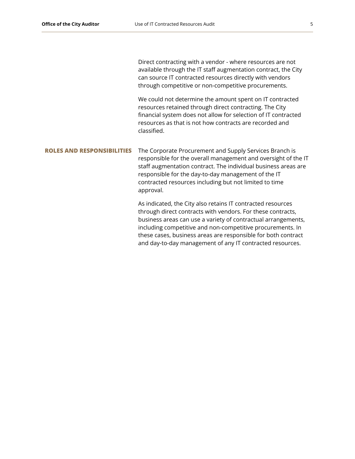Direct contracting with a vendor - where resources are not available through the IT staff augmentation contract, the City can source IT contracted resources directly with vendors through competitive or non-competitive procurements.

We could not determine the amount spent on IT contracted resources retained through direct contracting. The City financial system does not allow for selection of IT contracted resources as that is not how contracts are recorded and classified.

## **ROLES AND RESPONSIBILITIES** The Corporate Procurement and Supply Services Branch is responsible for the overall management and oversight of the IT staff augmentation contract. The individual business areas are responsible for the day-to-day management of the IT contracted resources including but not limited to time approval.

As indicated, the City also retains IT contracted resources through direct contracts with vendors. For these contracts, business areas can use a variety of contractual arrangements, including competitive and non-competitive procurements. In these cases, business areas are responsible for both contract and day-to-day management of any IT contracted resources.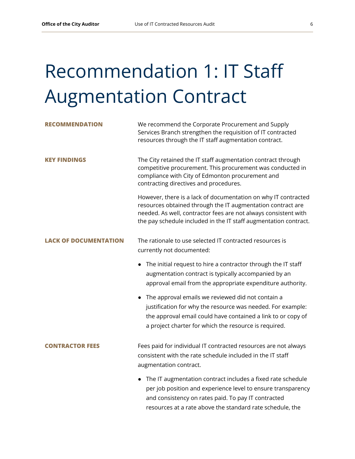# Recommendation 1: IT Staff Augmentation Contract

| <b>RECOMMENDATION</b>  | We recommend the Corporate Procurement and Supply<br>Services Branch strengthen the requisition of IT contracted<br>resources through the IT staff augmentation contract.                                                                                            |
|------------------------|----------------------------------------------------------------------------------------------------------------------------------------------------------------------------------------------------------------------------------------------------------------------|
| <b>KEY FINDINGS</b>    | The City retained the IT staff augmentation contract through<br>competitive procurement. This procurement was conducted in<br>compliance with City of Edmonton procurement and<br>contracting directives and procedures.                                             |
|                        | However, there is a lack of documentation on why IT contracted<br>resources obtained through the IT augmentation contract are<br>needed. As well, contractor fees are not always consistent with<br>the pay schedule included in the IT staff augmentation contract. |
| LACK OF DOCUMENTATION  | The rationale to use selected IT contracted resources is<br>currently not documented:                                                                                                                                                                                |
|                        | The initial request to hire a contractor through the IT staff<br>augmentation contract is typically accompanied by an<br>approval email from the appropriate expenditure authority.                                                                                  |
|                        | The approval emails we reviewed did not contain a<br>justification for why the resource was needed. For example:<br>the approval email could have contained a link to or copy of<br>a project charter for which the resource is required.                            |
| <b>CONTRACTOR FEES</b> | Fees paid for individual IT contracted resources are not always<br>consistent with the rate schedule included in the IT staff<br>augmentation contract.                                                                                                              |
|                        | The IT augmentation contract includes a fixed rate schedule<br>per job position and experience level to ensure transparency<br>and consistency on rates paid. To pay IT contracted<br>resources at a rate above the standard rate schedule, the                      |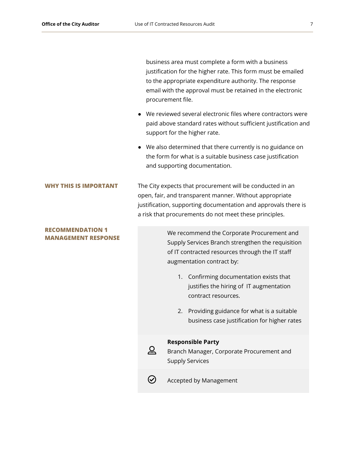business area must complete a form with a business justification for the higher rate. This form must be emailed to the appropriate expenditure authority. The response email with the approval must be retained in the electronic procurement file.

- We reviewed several electronic files where contractors were paid above standard rates without sufficient justification and support for the higher rate.
- We also determined that there currently is no guidance on the form for what is a suitable business case justification and supporting documentation.

**WHY THIS IS IMPORTANT** The City expects that procurement will be conducted in an open, fair, and transparent manner. Without appropriate justification, supporting documentation and approvals there is a risk that procurements do not meet these principles.

#### **RECOMMENDATION 1 MANAGEMENT RESPONSE**

We recommend the Corporate Procurement and Supply Services Branch strengthen the requisition of IT contracted resources through the IT staff augmentation contract by:

- 1. Confirming documentation exists that justifies the hiring of IT augmentation contract resources.
- 2. Providing guidance for what is a suitable business case justification for higher rates

#### **Responsible Party**



Branch Manager, Corporate Procurement and Supply Services



Accepted by Management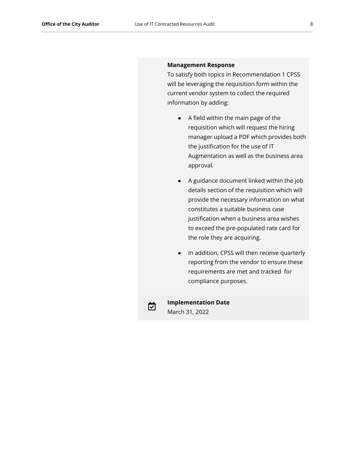#### **Management Response**

To satisfy both topics in Recommendation 1 CPSS will be leveraging the requisition form within the current vendor system to collect the required information by adding:

- A field within the main page of the requisition which will request the hiring manager upload a PDF which provides both the justification for the use of IT Augmentation as well as the business area approval.
- A guidance document linked within the job details section of the requisition which will provide the necessary information on what constitutes a suitable business case justification when a business area wishes to exceed the pre-populated rate card for the role they are acquiring.
- In addition, CPSS will then receive quarterly reporting from the vendor to ensure these requirements are met and tracked for compliance purposes.



**Implementation Date** March 31, 2022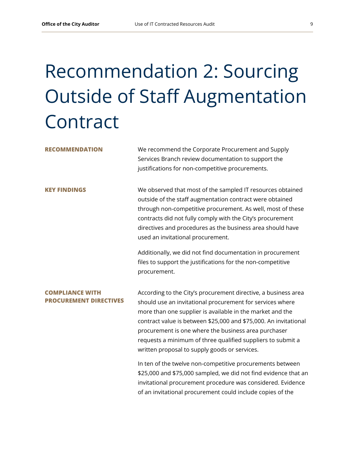# Recommendation 2: Sourcing Outside of Staff Augmentation Contract

**RECOMMENDATION** We recommend the Corporate Procurement and Supply Services Branch review documentation to support the justifications for non-competitive procurements.

**KEY FINDINGS** We observed that most of the sampled IT resources obtained outside of the staff augmentation contract were obtained through non-competitive procurement. As well, most of these contracts did not fully comply with the City's procurement directives and procedures as the business area should have used an invitational procurement.

> Additionally, we did not find documentation in procurement files to support the justifications for the non-competitive procurement.

### **COMPLIANCE WITH PROCUREMENT DIRECTIVES**

According to the City's procurement directive, a business area should use an invitational procurement for services where more than one supplier is available in the market and the contract value is between \$25,000 and \$75,000. An invitational procurement is one where the business area purchaser requests a minimum of three qualified suppliers to submit a written proposal to supply goods or services.

In ten of the twelve non-competitive procurements between \$25,000 and \$75,000 sampled, we did not find evidence that an invitational procurement procedure was considered. Evidence of an invitational procurement could include copies of the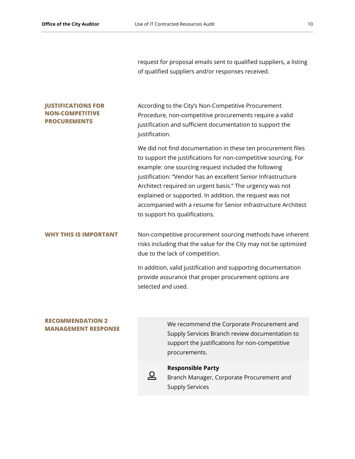request for proposal emails sent to qualified suppliers, a listing of qualified suppliers and/or responses received.

### **JUSTIFICATIONS FOR NON-COMPETITIVE PROCUREMENTS**

According to the City's Non-Competitive Procurement Procedure, non-competitive procurements require a valid justification and sufficient documentation to support the justification.

We did not find documentation in these ten procurement files to support the justifications for non-competitive sourcing. For example: one sourcing request included the following justification: "Vendor has an excellent Senior Infrastructure Architect required on urgent basis." The urgency was not explained or supported. In addition, the request was not accompanied with a resume for Senior Infrastructure Architect to support his qualifications.

**WHY THIS IS IMPORTANT** Non-competitive procurement sourcing methods have inherent risks including that the value for the City may not be optimized due to the lack of competition.

> In addition, valid justification and supporting documentation provide assurance that proper procurement options are selected and used.

#### **RECOMMENDATION 2 MANAGEMENT RESPONSE**

We recommend the Corporate Procurement and Supply Services Branch review documentation to support the justifications for non-competitive procurements.



## **Responsible Party**

Branch Manager, Corporate Procurement and Supply Services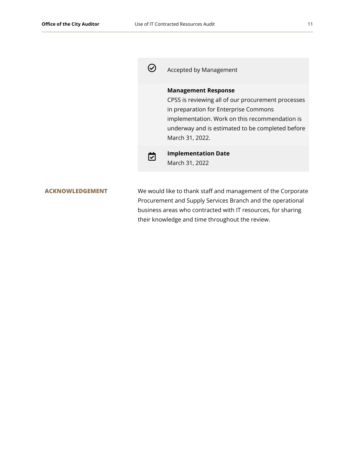

Accepted by Management

## **Management Response**

CPSS is reviewing all of our procurement processes in preparation for Enterprise Commons implementation. Work on this recommendation is underway and is estimated to be completed before March 31, 2022.



**Implementation Date** March 31, 2022

**ACKNOWLEDGEMENT** We would like to thank staff and management of the Corporate Procurement and Supply Services Branch and the operational business areas who contracted with IT resources, for sharing their knowledge and time throughout the review.